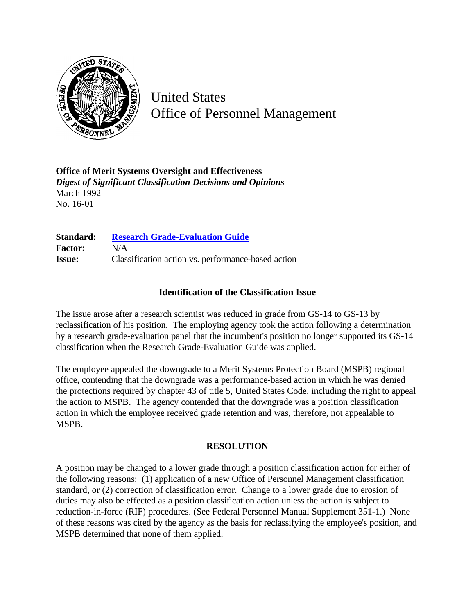

United States Office of Personnel Management

**Office of Merit Systems Oversight and Effectiveness** *Digest of Significant Classification Decisions and Opinions* March 1992 No. 16-01

**Standard: [Research Grade-Evaluation Guide](http://www.opm.gov/hr/fedclass/gsresch.pdf) Factor:** N/A **Issue:** Classification action vs. performance-based action

## **Identification of the Classification Issue**

The issue arose after a research scientist was reduced in grade from GS-14 to GS-13 by reclassification of his position. The employing agency took the action following a determination by a research grade-evaluation panel that the incumbent's position no longer supported its GS-14 classification when the Research Grade-Evaluation Guide was applied.

The employee appealed the downgrade to a Merit Systems Protection Board (MSPB) regional office, contending that the downgrade was a performance-based action in which he was denied the protections required by chapter 43 of title 5, United States Code, including the right to appeal the action to MSPB. The agency contended that the downgrade was a position classification action in which the employee received grade retention and was, therefore, not appealable to MSPB.

## **RESOLUTION**

A position may be changed to a lower grade through a position classification action for either of the following reasons: (1) application of a new Office of Personnel Management classification standard, or (2) correction of classification error. Change to a lower grade due to erosion of duties may also be effected as a position classification action unless the action is subject to reduction-in-force (RIF) procedures. (See Federal Personnel Manual Supplement 351-1.) None of these reasons was cited by the agency as the basis for reclassifying the employee's position, and MSPB determined that none of them applied.